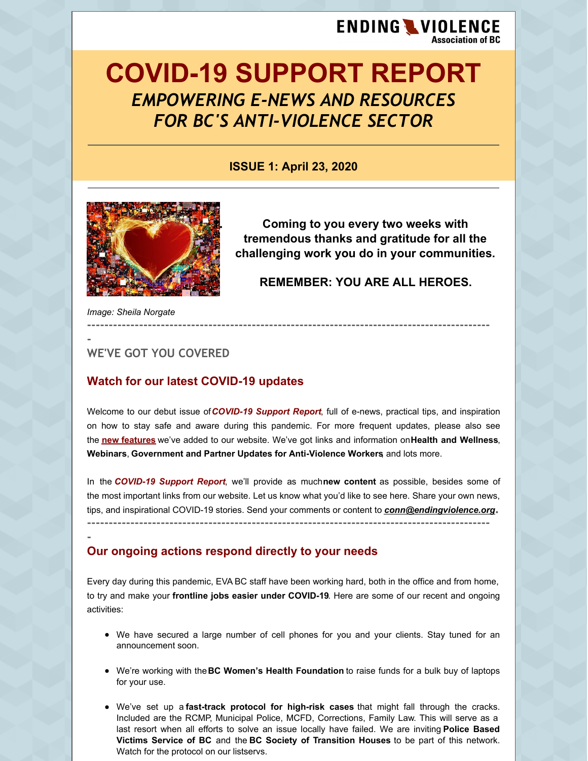# **ENDING WIOLENCE Association of BC**

# **COVID-19 SUPPORT REPORT** *EMPOWERING E-NEWS AND RESOURCES FOR BC'S ANTI-VIOLENCE SECTOR*

**ISSUE 1: April 23, 2020**



**1. Coming to you every two weeks with tremendous thanks and gratitude for all the challenging work you do in your communities.**

**REMEMBER: YOU ARE ALL HEROES.**

*Image: Sheila Norgate*

**- WE'VE GOT YOU COVERED**

## **Watch for our latest COVID-19 updates**

Welcome to our debut issue of*COVID-19 Support Report*, full of e-news, practical tips, and inspiration on how to stay safe and aware during this pandemic. For more frequent updates, please also see the **new [features](https://endingviolence.org/need-help/important-covid-19-updates-from-eva-bc/.)** we've added to our website. We've got links and information on**Health and Wellness**, **Webinars**, **Government and Partner Updates for Anti-Violence Workers**, and lots more.

**---------------------------------------------------------------------------------------------**

In the *COVID-19 Support Report*, we'll provide as much**new content** as possible, besides some of the most important links from our website. Let us know what you'd like to see here. Share your own news, tips, and inspirational COVID-19 stories. Send your comments or content to *[conn@endingviolence.org](mailto:conn@endingviolence.org)***. ---------------------------------------------------------------------------------------------**

### **- Our ongoing actions respond directly to your needs**

Every day during this pandemic, EVA BC staff have been working hard, both in the office and from home, to try and make your **frontline jobs easier under COVID-19**. Here are some of our recent and ongoing activities:

- We have secured a large number of cell phones for you and your clients. Stay tuned for an announcement soon.
- We're working with the**BC Women's Health Foundation** to raise funds for a bulk buy of laptops for your use.
- We've set up a **fast-track protocol for high-risk cases** that might fall through the cracks. Included are the RCMP, Municipal Police, MCFD, Corrections, Family Law. This will serve as a last resort when all efforts to solve an issue locally have failed. We are inviting **Police Based Victims Service of BC** and the **BC Society of Transition Houses** to be part of this network. Watch for the protocol on our listservs.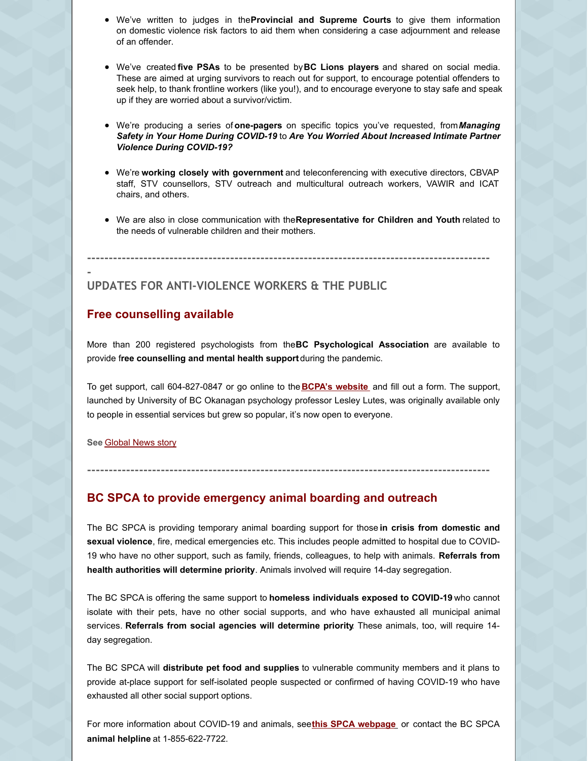- We've written to judges in the**Provincial and Supreme Courts** to give them information on domestic violence risk factors to aid them when considering a case adjournment and release of an offender.
- We've created **five PSAs** to be presented by**BC Lions players** and shared on social media. These are aimed at urging survivors to reach out for support, to encourage potential offenders to seek help, to thank frontline workers (like you!), and to encourage everyone to stay safe and speak up if they are worried about a survivor/victim.
- We're producing a series of **one-pagers** on specific topics you've requested, from*Managing Safety in Your Home During COVID-19* to *Are You Worried About Increased Intimate Partner Violence During COVID-19?*
- We're **working closely with government** and teleconferencing with executive directors, CBVAP staff, STV counsellors, STV outreach and multicultural outreach workers, VAWIR and ICAT chairs, and others.
- We are also in close communication with the**Representative for Children and Youth** related to the needs of vulnerable children and their mothers.

**---------------------------------------------------------------------------------------------**

#### **- UPDATES FOR ANTI-VIOLENCE WORKERS & THE PUBLIC**

#### **Free counselling available**

More than 200 registered psychologists from the**BC Psychological Association** are available to provide f**ree counselling and mental health support** during the pandemic.

To get support, call 604-827-0847 or go online to the **BCPA's [website](https://www.psychologists.bc.ca/)** and fill out a form. The support, launched by University of BC Okanagan psychology professor Lesley Lutes, was originally available only to people in essential services but grew so popular, it's now open to everyone.

**---------------------------------------------------------------------------------------------**

**See** [Global](https://globalnews.ca/news/6824435/b-c-registered-psychologists-mental-health-support-coronavirus/?utm_source=980CKNW&utm_medium=Facebook&fbclid=IwAR26vnKipEsGyiVIcP_QX0azammL5r3p_VIE7-SR6qf4-FRyMYyCA6l7o5g) News story

## **BC SPCA to provide emergency animal boarding and outreach**

The BC SPCA is providing temporary animal boarding support for those **in crisis from domestic and sexual violence**, fire, medical emergencies etc. This includes people admitted to hospital due to COVID-19 who have no other support, such as family, friends, colleagues, to help with animals. **Referrals from health authorities will determine priority**. Animals involved will require 14-day segregation.

The BC SPCA is offering the same support to **homeless individuals exposed to COVID-19** who cannot isolate with their pets, have no other social supports, and who have exhausted all municipal animal services. **Referrals from social agencies will determine priority**. These animals, too, will require 14 day segregation.

The BC SPCA will **distribute pet food and supplies** to vulnerable community members and it plans to provide at-place support for self-isolated people suspected or confirmed of having COVID-19 who have exhausted all other social support options.

For more information about COVID-19 and animals, see**this SPCA [webpage](http://www.spca.bc.ca/covid19-faq)** or contact the BC SPCA **animal helpline** at 1-855-622-7722.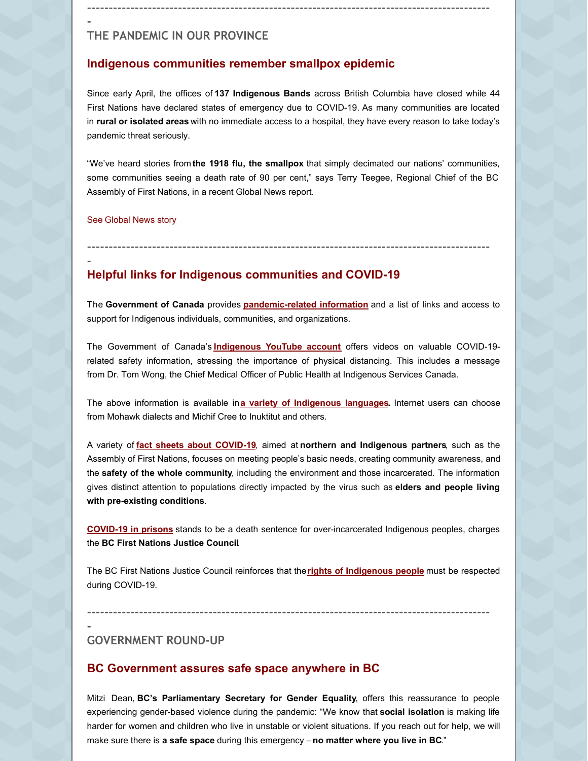# **THE PANDEMIC IN OUR PROVINCE**

#### **Indigenous communities remember smallpox epidemic**

Since early April, the offices of **137 Indigenous Bands** across British Columbia have closed while 44 First Nations have declared states of emergency due to COVID-19. As many communities are located in **rural or isolated areas** with no immediate access to a hospital, they have every reason to take today's pandemic threat seriously.

**---------------------------------------------------------------------------------------------**

"We've heard stories from **the 1918 flu, the smallpox** that simply decimated our nations' communities, some communities seeing a death rate of 90 per cent," says Terry Teegee, Regional Chief of the BC Assembly of First Nations, in a recent Global News report.

See [Global](https://globalnews.ca/news/6796367/bc-first-nations-lockdown-covid-19-indigenous-communities/) News story

# **---------------------------------------------------------------------------------------------**

**-**

**-**

### **Helpful links for Indigenous communities and COVID-19**

The **Government of Canada** provides **[pandemic-related](https://www.sac-isc.gc.ca/eng/1581964230816/1581964277298) information** and a list of links and access to support for Indigenous individuals, communities, and organizations.

The Government of Canada's **[Indigenous](https://www.youtube.com/user/AANDCanada) YouTube account** offers videos on valuable COVID-19 related safety information, stressing the importance of physical distancing. This includes a message from Dr. Tom Wong, the Chief Medical Officer of Public Health at Indigenous Services Canada.

The above information is available in**a variety of [Indigenous](https://www.sac-isc.gc.ca/eng/1583781906998/1583781926813) languages.** Internet users can choose from Mohawk dialects and Michif Cree to Inuktitut and others.

A variety of **fact sheets about [COVID-19](https://www.sac-isc.gc.ca/eng/1586548069915/1586548087539#s2)**, aimed at **northern and Indigenous partners**, such as the Assembly of First Nations, focuses on meeting people's basic needs, creating community awareness, and the **safety of the whole community**, including the environment and those incarcerated. The information gives distinct attention to populations directly impacted by the virus such as **elders and people living with pre-existing conditions**.

**[COVID-19](https://www.ubcic.bc.ca/covid_19_in_prisons_stands_to_be_a_death_sentence_for_overincarcerated_indigenous_peoples) in prisons** stands to be a death sentence for over-incarcerated Indigenous peoples, charges the **BC First Nations Justice Council**.

The BC First Nations Justice Council reinforces that the**rights of [Indigenous](https://www.ubcic.bc.ca/indigenous_peoples_rights_must_be_respected_during_covid_19) people** must be respected during COVID-19.

**---------------------------------------------------------------------------------------------**

**-**

#### **GOVERNMENT ROUND-UP**

#### **BC Government assures safe space anywhere in BC**

Mitzi Dean, **BC's Parliamentary Secretary for Gender Equality**, offers this reassurance to people experiencing gender-based violence during the pandemic: "We know that **social isolation** is making life harder for women and children who live in unstable or violent situations. If you reach out for help, we will make sure there is **a safe space** during this emergency –**no matter where you live in BC**."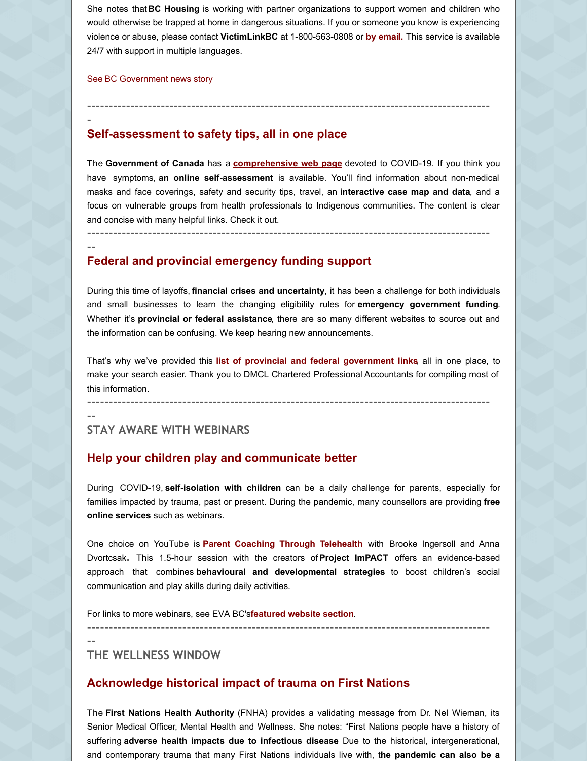She notes that**BC Housing** is working with partner organizations to support women and children who would otherwise be trapped at home in dangerous situations. If you or someone you know is experiencing violence or abuse, please contact **VictimLinkBC** at 1-800-563-0808 or **by [emai](mailto:VictimLinkBC@bc211.ca)l.** This service is available 24/7 with support in multiple languages.

**---------------------------------------------------------------------------------------------**

#### See BC [Government](https://news.gov.bc.ca/releases/2020FIN0020-000656) news story

**-**

**--**

#### **Self-assessment to safety tips, all in one place**

The **Government of Canada** has a **[comprehensive](https://www.canada.ca/en/public-health/services/diseases/coronavirus-disease-covid-19.html) web page** devoted to COVID-19. If you think you have symptoms, **an online self-assessment** is available. You'll find information about non-medical masks and face coverings, safety and security tips, travel, an **interactive case map and data**, and a focus on vulnerable groups from health professionals to Indigenous communities. The content is clear and concise with many helpful links. Check it out.

**---------------------------------------------------------------------------------------------**

## **Federal and provincial emergency funding support**

During this time of layoffs, **financial crises and uncertainty**, it has been a challenge for both individuals and small businesses to learn the changing eligibility rules for **emergency government funding**. Whether it's **provincial or federal assistance**, there are so many different websites to source out and the information can be confusing. We keep hearing new announcements.

That's why we've provided this **list of provincial and federal [government](https://files.constantcontact.com/5a41096f001/d991cd07-2a33-421e-9873-99615c628592.pdf) links**, all in one place, to make your search easier. Thank you to DMCL Chartered Professional Accountants for compiling most of this information.

**---------------------------------------------------------------------------------------------**

**--**

#### **STAY AWARE WITH WEBINARS**

#### **Help your children play and communicate better**

During COVID-19, **self-isolation with children** can be a daily challenge for parents, especially for families impacted by trauma, past or present. During the pandemic, many counsellors are providing **free online services** such as webinars.

One choice on YouTube is **Parent Coaching Through [Telehealth](https://www.youtube.com/watch?v=ZuaCS19djPw)** with Brooke Ingersoll and Anna Dvortcsak**.** This 1.5-hour session with the creators of**Project ImPACT** offers an evidence-based approach that combines **behavioural and developmental strategies** to boost children's social communication and play skills during daily activities.

For links to more webinars, see EVA BC's**[featured](https://endingviolence.org/need-help/important-covid-19-updates-from-eva-bc/) website section**.

**---------------------------------------------------------------------------------------------**

**--**

**THE WELLNESS WINDOW**

#### **Acknowledge historical impact of trauma on First Nations**

The **First Nations Health Authority** (FNHA) provides a validating message from Dr. Nel Wieman, its Senior Medical Officer, Mental Health and Wellness. She notes: "First Nations people have a history of suffering **adverse health impacts due to infectious disease**. Due to the historical, intergenerational, and contemporary trauma that many First Nations individuals live with, t**he pandemic can also be a**